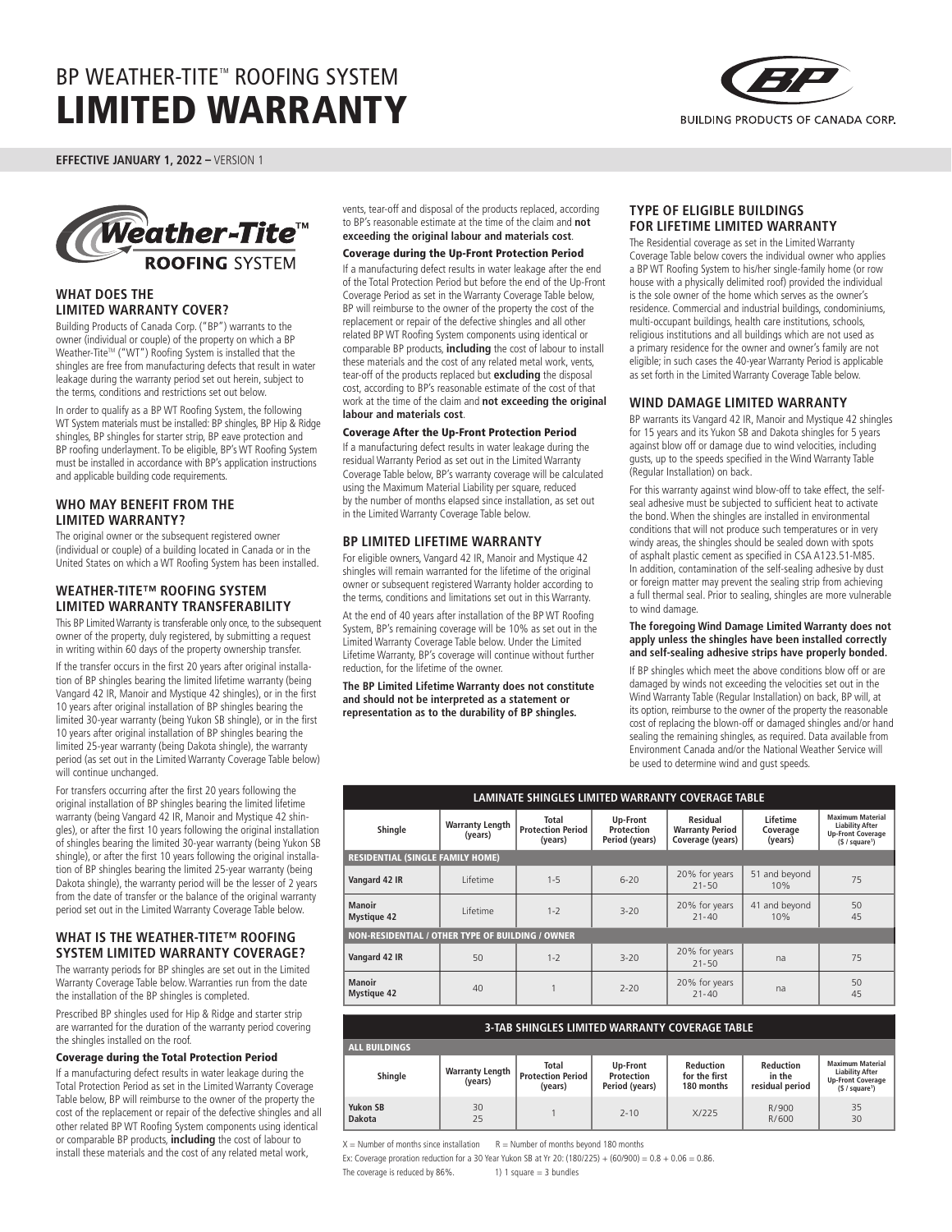

**EFFECTIVE JANUARY 1, 2022 –** VERSION 1



## **WHAT DOES THE LIMITED WARRANTY COVER?**

Building Products of Canada Corp. ("BP") warrants to the owner (individual or couple) of the property on which a BP Weather-Tite™ ("WT") Roofing System is installed that the shingles are free from manufacturing defects that result in water leakage during the warranty period set out herein, subject to the terms, conditions and restrictions set out below.

In order to qualify as a BP WT Roofing System, the following WT System materials must be installed: BP shingles, BP Hip & Ridge shingles, BP shingles for starter strip, BP eave protection and BP roofing underlayment. To be eligible, BP's WT Roofing System must be installed in accordance with BP's application instructions and applicable building code requirements.

## **WHO MAY BENEFIT FROM THE LIMITED WARRANTY?**

The original owner or the subsequent registered owner (individual or couple) of a building located in Canada or in the United States on which a WT Roofing System has been installed.

## **WEATHER-TITE™ ROOFING SYSTEM LIMITED WARRANTY TRANSFERABILITY**

This BP Limited Warranty is transferable only once, to the subsequent owner of the property, duly registered, by submitting a request in writing within 60 days of the property ownership transfer.

If the transfer occurs in the first 20 years after original installation of BP shingles bearing the limited lifetime warranty (being Vangard 42 IR, Manoir and Mystique 42 shingles), or in the first 10 years after original installation of BP shingles bearing the limited 30-year warranty (being Yukon SB shingle), or in the first 10 years after original installation of BP shingles bearing the limited 25-year warranty (being Dakota shingle), the warranty period (as set out in the Limited Warranty Coverage Table below) will continue unchanged.

For transfers occurring after the first 20 years following the original installation of BP shingles bearing the limited lifetime warranty (being Vangard 42 IR, Manoir and Mystique 42 shingles), or after the first 10 years following the original installation of shingles bearing the limited 30-year warranty (being Yukon SB shingle), or after the first 10 years following the original installation of BP shingles bearing the limited 25-year warranty (being Dakota shingle), the warranty period will be the lesser of 2 years from the date of transfer or the balance of the original warranty period set out in the Limited Warranty Coverage Table below.

# **WHAT IS THE WEATHER-TITE™ ROOFING SYSTEM LIMITED WARRANTY COVERAGE?**

The warranty periods for BP shingles are set out in the Limited Warranty Coverage Table below. Warranties run from the date the installation of the BP shingles is completed.

Prescribed BP shingles used for Hip & Ridge and starter strip are warranted for the duration of the warranty period covering the shingles installed on the roof.

#### Coverage during the Total Protection Period

If a manufacturing defect results in water leakage during the Total Protection Period as set in the Limited Warranty Coverage Table below, BP will reimburse to the owner of the property the cost of the replacement or repair of the defective shingles and all other related BP WT Roofing System components using identical or comparable BP products, **including** the cost of labour to install these materials and the cost of any related metal work,

vents, tear-off and disposal of the products replaced, according to BP's reasonable estimate at the time of the claim and **not exceeding the original labour and materials cost**.

### Coverage during the Up-Front Protection Period

If a manufacturing defect results in water leakage after the end of the Total Protection Period but before the end of the Up-Front Coverage Period as set in the Warranty Coverage Table below, BP will reimburse to the owner of the property the cost of the replacement or repair of the defective shingles and all other related BP WT Roofing System components using identical or comparable BP products, **including** the cost of labour to install these materials and the cost of any related metal work, vents, tear-off of the products replaced but **excluding** the disposal cost, according to BP's reasonable estimate of the cost of that work at the time of the claim and **not exceeding the original labour and materials cost**.

#### Coverage After the Up-Front Protection Period

If a manufacturing defect results in water leakage during the residual Warranty Period as set out in the Limited Warranty Coverage Table below, BP's warranty coverage will be calculated using the Maximum Material Liability per square, reduced by the number of months elapsed since installation, as set out in the Limited Warranty Coverage Table below.

### **BP LIMITED LIFETIME WARRANTY**

For eligible owners, Vangard 42 IR, Manoir and Mystique 42 shingles will remain warranted for the lifetime of the original owner or subsequent registered Warranty holder according to the terms, conditions and limitations set out in this Warranty.

At the end of 40 years after installation of the BP WT Roofing System, BP's remaining coverage will be 10% as set out in the Limited Warranty Coverage Table below. Under the Limited Lifetime Warranty, BP's coverage will continue without further reduction, for the lifetime of the owner.

#### **The BP Limited Lifetime Warranty does not constitute and should not be interpreted as a statement or representation as to the durability of BP shingles.**

### **TYPE OF ELIGIBLE BUILDINGS FOR LIFETIME LIMITED WARRANTY**

The Residential coverage as set in the Limited Warranty Coverage Table below covers the individual owner who applies a BP WT Roofing System to his/her single-family home (or row house with a physically delimited roof) provided the individual is the sole owner of the home which serves as the owner's residence. Commercial and industrial buildings, condominiums, multi-occupant buildings, health care institutions, schools, religious institutions and all buildings which are not used as a primary residence for the owner and owner's family are not eligible; in such cases the 40-year Warranty Period is applicable as set forth in the Limited Warranty Coverage Table below.

### **WIND DAMAGE LIMITED WARRANTY**

BP warrants its Vangard 42 IR, Manoir and Mystique 42 shingles for 15 years and its Yukon SB and Dakota shingles for 5 years against blow off or damage due to wind velocities, including gusts, up to the speeds specified in the Wind Warranty Table (Regular Installation) on back.

For this warranty against wind blow-off to take effect, the selfseal adhesive must be subjected to sufficient heat to activate the bond. When the shingles are installed in environmental conditions that will not produce such temperatures or in very windy areas, the shingles should be sealed down with spots of asphalt plastic cement as specified in CSA A123.51-M85. In addition, contamination of the self-sealing adhesive by dust or foreign matter may prevent the sealing strip from achieving a full thermal seal. Prior to sealing, shingles are more vulnerable to wind damage.

#### **The foregoing Wind Damage Limited Warranty does not apply unless the shingles have been installed correctly and self-sealing adhesive strips have properly bonded.**

If BP shingles which meet the above conditions blow off or are damaged by winds not exceeding the velocities set out in the Wind Warranty Table (Regular Installation) on back, BP will, at its option, reimburse to the owner of the property the reasonable cost of replacing the blown-off or damaged shingles and/or hand sealing the remaining shingles, as required. Data available from Environment Canada and/or the National Weather Service will be used to determine wind and gust speeds.

| LAMINATE SHINGLES LIMITED WARRANTY COVERAGE TABLE |                                   |                                              |                                          |                                                        |                                 |                                                                                                             |  |
|---------------------------------------------------|-----------------------------------|----------------------------------------------|------------------------------------------|--------------------------------------------------------|---------------------------------|-------------------------------------------------------------------------------------------------------------|--|
| Shingle                                           | <b>Warranty Length</b><br>(years) | Total<br><b>Protection Period</b><br>(years) | Up-Front<br>Protection<br>Period (years) | Residual<br><b>Warranty Period</b><br>Coverage (years) | Lifetime<br>Coverage<br>(years) | <b>Maximum Material</b><br><b>Liability After</b><br><b>Up-Front Coverage</b><br>(§ / square <sup>1</sup> ) |  |
| <b>RESIDENTIAL (SINGLE FAMILY HOME)</b>           |                                   |                                              |                                          |                                                        |                                 |                                                                                                             |  |
| Vangard 42 IR                                     | I ifetime                         | $1 - 5$                                      | $6 - 20$                                 | 20% for years<br>$21 - 50$                             | 51 and beyond<br>10%            | 75                                                                                                          |  |
| <b>Manoir</b><br><b>Mystique 42</b>               | I ifetime                         | $1 - 2$                                      | $3 - 20$                                 | 20% for years<br>$21 - 40$                             | 41 and beyond<br>10%            | 50<br>45                                                                                                    |  |
| NON-RESIDENTIAL / OTHER TYPE OF BUILDING / OWNER  |                                   |                                              |                                          |                                                        |                                 |                                                                                                             |  |
| Vangard 42 IR                                     | 50                                | $1 - 2$                                      | $3 - 20$                                 | 20% for years<br>$21 - 50$                             | na                              | 75                                                                                                          |  |
| <b>Manoir</b><br><b>Mystique 42</b>               | 40                                |                                              | $7 - 20$                                 | 20% for years<br>$71 - 40$                             | na                              | 50<br>45                                                                                                    |  |

| 3-TAB SHINGLES LIMITED WARRANTY COVERAGE TABLE |                                   |                                                     |                                          |                                          |                                        |                                                                                                             |  |
|------------------------------------------------|-----------------------------------|-----------------------------------------------------|------------------------------------------|------------------------------------------|----------------------------------------|-------------------------------------------------------------------------------------------------------------|--|
| <b>ALL BUILDINGS</b>                           |                                   |                                                     |                                          |                                          |                                        |                                                                                                             |  |
| Shingle                                        | <b>Warranty Length</b><br>(years) | <b>Total</b><br><b>Protection Period</b><br>(years) | Up-Front<br>Protection<br>Period (years) | Reduction<br>for the first<br>180 months | Reduction<br>in the<br>residual period | <b>Maximum Material</b><br><b>Liability After</b><br><b>Up-Front Coverage</b><br>(§ / square <sup>1</sup> ) |  |
| Yukon SB<br><b>Dakota</b>                      | 30<br>25                          |                                                     | $7 - 10$                                 | X/225                                    | R/900<br>R/600                         | 35<br>30                                                                                                    |  |

 $X =$  Number of months since installation  $R =$  Number of months beyond 180 months

Ex: Coverage proration reduction for a 30 Year Yukon SB at Yr 20: (180/225) + (60/900) =  $0.8 + 0.06 = 0.86$ .

The coverage is reduced by  $86\%$ . 1) 1 square = 3 bundles